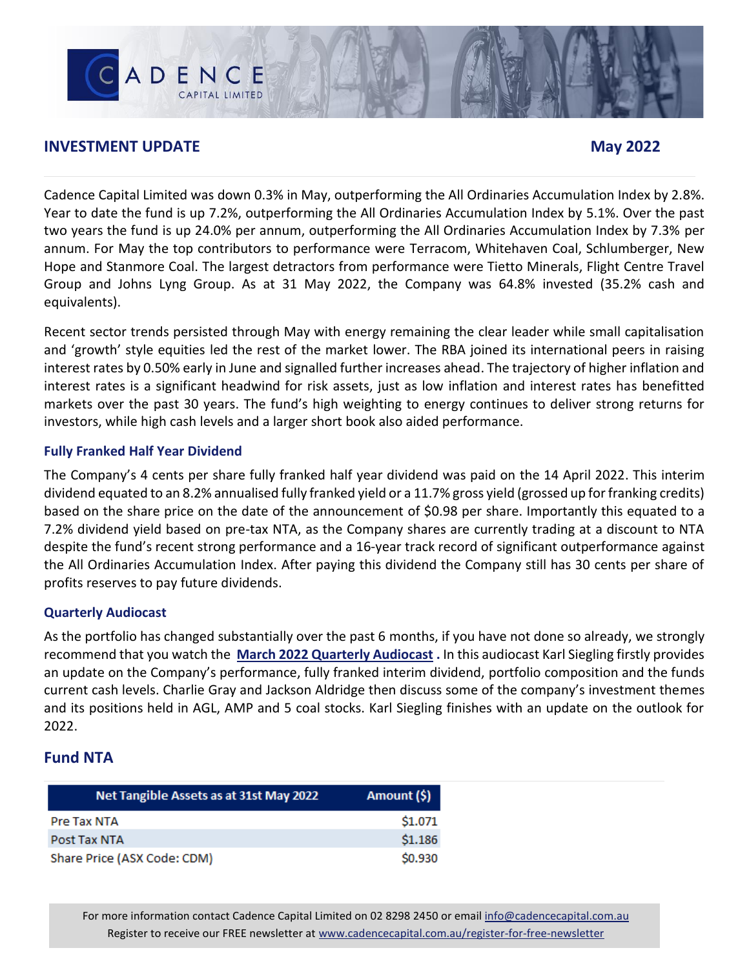## **INVESTMENT UPDATE May** 2022

CADENCE

Cadence Capital Limited was down 0.3% in May, outperforming the All Ordinaries Accumulation Index by 2.8%. Year to date the fund is up 7.2%, outperforming the All Ordinaries Accumulation Index by 5.1%. Over the past two years the fund is up 24.0% per annum, outperforming the All Ordinaries Accumulation Index by 7.3% per annum. For May the top contributors to performance were Terracom, Whitehaven Coal, Schlumberger, New Hope and Stanmore Coal. The largest detractors from performance were Tietto Minerals, Flight Centre Travel Group and Johns Lyng Group. As at 31 May 2022, the Company was 64.8% invested (35.2% cash and equivalents).

Recent sector trends persisted through May with energy remaining the clear leader while small capitalisation and 'growth' style equities led the rest of the market lower. The RBA joined its international peers in raising interest rates by 0.50% early in June and signalled further increases ahead. The trajectory of higher inflation and interest rates is a significant headwind for risk assets, just as low inflation and interest rates has benefitted markets over the past 30 years. The fund's high weighting to energy continues to deliver strong returns for investors, while high cash levels and a larger short book also aided performance.

#### **Fully Franked Half Year Dividend**

The Company's 4 cents per share fully franked half year dividend was paid on the 14 April 2022. This interim dividend equated to an 8.2% annualised fully franked yield or a 11.7% gross yield (grossed up for franking credits) based on the share price on the date of the announcement of \$0.98 per share. Importantly this equated to a 7.2% dividend yield based on pre-tax NTA, as the Company shares are currently trading at a discount to NTA despite the fund's recent strong performance and a 16-year track record of significant outperformance against the All Ordinaries Accumulation Index. After paying this dividend the Company still has 30 cents per share of profits reserves to pay future dividends.

## **Quarterly Audiocast**

As the portfolio has changed substantially over the past 6 months, if you have not done so already, we strongly recommend that you watch the **[March 2022 Quarterly Audiocast](https://www.cadencecapital.com.au/ccl-mar-2022-webcast/) .** In this audiocast Karl Siegling firstly provides an update on the Company's performance, fully franked interim dividend, portfolio composition and the funds current cash levels. Charlie Gray and Jackson Aldridge then discuss some of the company's investment themes and its positions held in AGL, AMP and 5 coal stocks. Karl Siegling finishes with an update on the outlook for 2022.

## **Fund NTA**

| Net Tangible Assets as at 31st May 2022 | Amount (\$) |
|-----------------------------------------|-------------|
| Pre Tax NTA                             | \$1.071     |
| Post Tax NTA                            | \$1.186     |
| Share Price (ASX Code: CDM)             | \$0.930     |

For more information contact Cadence Capital Limited on 02 8298 2450 or email [info@cadencecapital.com.au](mailto:info@cadencecapital.com.au) Register to receive our FREE newsletter a[t www.cadencecapital.com.au/register-for-free-newsletter](http://www.cadencecapital.com.au/register-for-free-newsletter)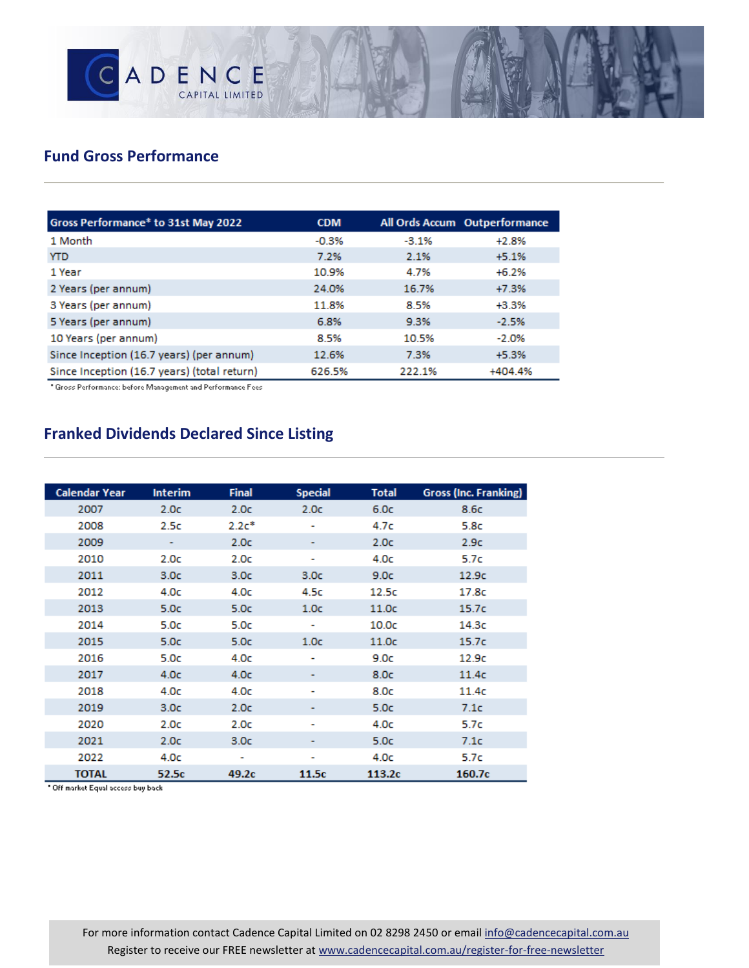

## **Fund Gross Performance**

| Gross Performance* to 31st May 2022         | <b>CDM</b> |         | All Ords Accum Outperformance |
|---------------------------------------------|------------|---------|-------------------------------|
| 1 Month                                     | $-0.3%$    | $-3.1%$ | $+2.8%$                       |
| <b>YTD</b>                                  | 7.2%       | 2.1%    | $+5.1%$                       |
| 1 Year                                      | 10.9%      | 4.7%    | $+6.2%$                       |
| 2 Years (per annum)                         | 24.0%      | 16.7%   | $+7.3%$                       |
| 3 Years (per annum)                         | 11.8%      | 8.5%    | +3.3%                         |
| 5 Years (per annum)                         | 6.8%       | 9.3%    | $-2.5%$                       |
| 10 Years (per annum)                        | 8.5%       | 10.5%   | $-2.0%$                       |
| Since Inception (16.7 years) (per annum)    | 12.6%      | 7.3%    | $+5.3%$                       |
| Since Inception (16.7 years) (total return) | 626.5%     | 222.1%  | +404.4%                       |

\* Gross Performance: before Management and Performance Fees

# **Franked Dividends Declared Since Listing**

| <b>Calendar Year</b> | <b>Interim</b>   | <b>Final</b>     | <b>Special</b>   | Total             | <b>Gross (Inc. Franking)</b> |
|----------------------|------------------|------------------|------------------|-------------------|------------------------------|
| 2007                 | 2.0 <sub>c</sub> | 2.0 <sub>c</sub> | 2.0 <sub>c</sub> | 6.0c              | 8.6c                         |
| 2008                 | 2.5c             | $2.2c*$          |                  | 4.7c              | 5.8c                         |
| 2009                 | ۰                | 2.0c             |                  | 2.0 <sub>c</sub>  | 2.9c                         |
| 2010                 | 2.0c             | 2.0c             | ۰                | 4.0c              | 5.7c                         |
| 2011                 | 3.0 <sub>c</sub> | 3.0 <sub>c</sub> | 3.0 <sub>c</sub> | 9.0c              | 12.9 <sub>c</sub>            |
| 2012                 | 4.0c             | 4.0c             | 4.5c             | 12.5c             | 17.8c                        |
| 2013                 | 5.0 <sub>c</sub> | 5.0 <sub>c</sub> | 1.0 <sub>c</sub> | 11.0 <sub>c</sub> | 15.7 <sub>C</sub>            |
| 2014                 | 5.0c             | 5.0c             | ۰                | 10.0 <sub>C</sub> | 14.3c                        |
| 2015                 | 5.0c             | 5.0c             | 1.0 <sub>C</sub> | 11.0 <sub>C</sub> | 15.7c                        |
| 2016                 | 5.0c             | 4.0c             | ٠                | 9.0c              | 12.9c                        |
| 2017                 | 4.0 <sub>c</sub> | 4.0 <sub>c</sub> |                  | 8.0c              | 11.4c                        |
| 2018                 | 4.0 <sub>c</sub> | 4.0 <sub>c</sub> | ٠                | 8.0c              | 11.4c                        |
| 2019                 | 3.0 <sub>c</sub> | 2.0 <sub>c</sub> | ۰                | 5.0 <sub>c</sub>  | 7.1c                         |
| 2020                 | 2.0 <sub>c</sub> | 2.0c             | ٠                | 4.0 <sub>c</sub>  | 5.7c                         |
| 2021                 | 2.0 <sub>c</sub> | 3.0 <sub>c</sub> |                  | 5.0 <sub>c</sub>  | 7.1c                         |
| 2022                 | 4.0 <sub>c</sub> | ٠                | ۰                | 4.0 <sub>c</sub>  | 5.7c                         |
| <b>TOTAL</b>         | 52.5c            | 49.2c            | 11.5c            | 113.2c            | 160.7c                       |

\* Off market Equal access buy back

For more information contact Cadence Capital Limited on 02 8298 2450 or email [info@cadencecapital.com.au](mailto:info@cadencecapital.com.au) Register to receive our FREE newsletter a[t www.cadencecapital.com.au/register-for-free-newsletter](http://www.cadencecapital.com.au/register-for-free-newsletter)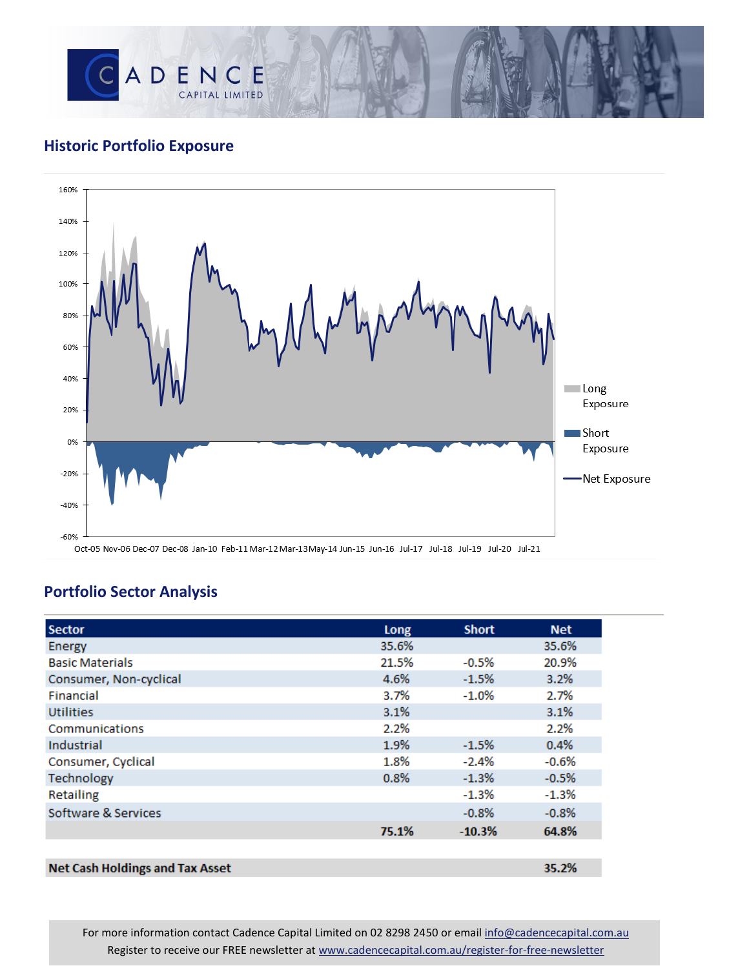

## **Historic Portfolio Exposure**



## **Portfolio Sector Analysis**

| <b>Sector</b>                          | Long  | <b>Short</b> | <b>Net</b> |
|----------------------------------------|-------|--------------|------------|
| Energy                                 | 35.6% |              | 35.6%      |
| <b>Basic Materials</b>                 | 21.5% | $-0.5%$      | 20.9%      |
| Consumer, Non-cyclical                 | 4.6%  | $-1.5%$      | 3.2%       |
| Financial                              | 3.7%  | $-1.0\%$     | 2.7%       |
| <b>Utilities</b>                       | 3.1%  |              | 3.1%       |
| Communications                         | 2.2%  |              | 2.2%       |
| Industrial                             | 1.9%  | $-1.5%$      | 0.4%       |
| Consumer, Cyclical                     | 1.8%  | $-2.4%$      | $-0.6%$    |
| Technology                             | 0.8%  | $-1.3%$      | $-0.5%$    |
| Retailing                              |       | $-1.3%$      | $-1.3%$    |
| Software & Services                    |       | $-0.8%$      | $-0.8%$    |
|                                        | 75.1% | $-10.3%$     | 64.8%      |
|                                        |       |              |            |
| <b>Net Cash Holdings and Tax Asset</b> |       |              | 35.2%      |

For more information contact Cadence Capital Limited on 02 8298 2450 or email [info@cadencecapital.com.au](mailto:info@cadencecapital.com.au) Register to receive our FREE newsletter a[t www.cadencecapital.com.au/register-for-free-newsletter](http://www.cadencecapital.com.au/register-for-free-newsletter)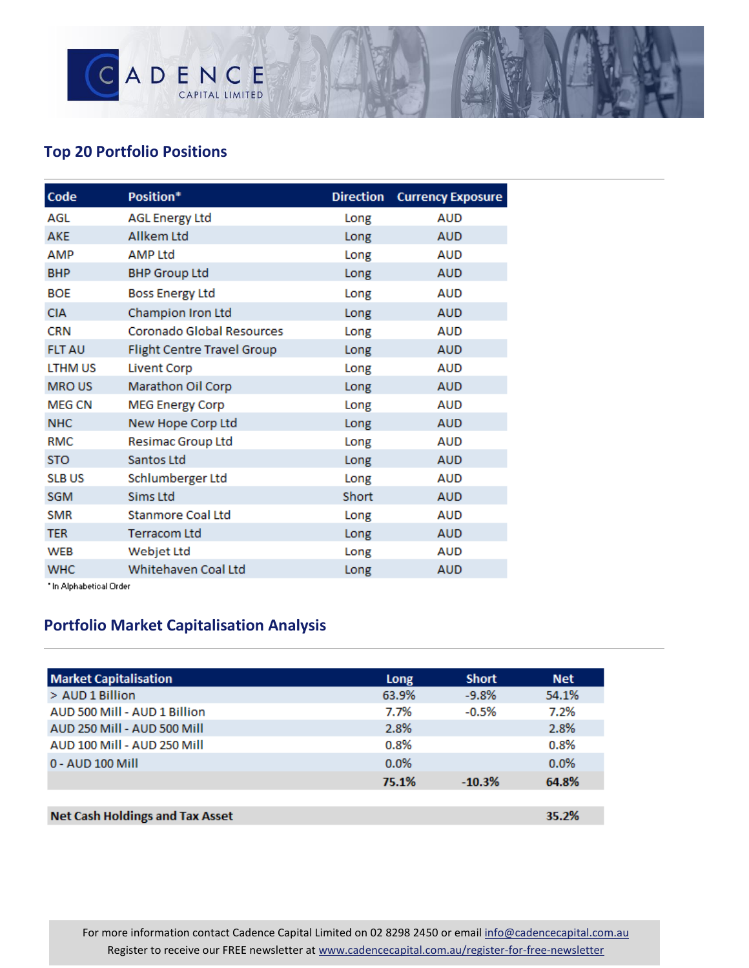

# **Top 20 Portfolio Positions**

| Code           | Position*                  | <b>Direction</b> | <b>Currency Exposure</b> |
|----------------|----------------------------|------------------|--------------------------|
| AGL            | <b>AGL Energy Ltd</b>      | Long             | <b>AUD</b>               |
| <b>AKE</b>     | <b>Allkem Ltd</b>          | Long             | <b>AUD</b>               |
| AMP            | <b>AMP Ltd</b>             | Long             | <b>AUD</b>               |
| <b>BHP</b>     | <b>BHP Group Ltd</b>       | Long             | <b>AUD</b>               |
| <b>BOE</b>     | <b>Boss Energy Ltd</b>     | Long             | <b>AUD</b>               |
| <b>CIA</b>     | Champion Iron Ltd          | Long             | <b>AUD</b>               |
| <b>CRN</b>     | Coronado Global Resources  | Long             | <b>AUD</b>               |
| <b>FLT AU</b>  | Flight Centre Travel Group | Long             | <b>AUD</b>               |
| <b>LTHM US</b> | <b>Livent Corp</b>         | Long             | <b>AUD</b>               |
| <b>MROUS</b>   | Marathon Oil Corp          | Long             | <b>AUD</b>               |
| <b>MEG CN</b>  | <b>MEG Energy Corp</b>     | Long             | <b>AUD</b>               |
| <b>NHC</b>     | New Hope Corp Ltd          | Long             | <b>AUD</b>               |
| <b>RMC</b>     | Resimac Group Ltd          | Long             | <b>AUD</b>               |
| <b>STO</b>     | Santos Ltd                 | Long             | <b>AUD</b>               |
| <b>SLB US</b>  | Schlumberger Ltd           | Long             | AUD                      |
| <b>SGM</b>     | <b>Sims Ltd</b>            | Short            | <b>AUD</b>               |
| <b>SMR</b>     | <b>Stanmore Coal Ltd</b>   | Long             | <b>AUD</b>               |
| <b>TER</b>     | <b>Terracom Ltd</b>        | Long             | <b>AUD</b>               |
| <b>WEB</b>     | Webjet Ltd                 | Long             | <b>AUD</b>               |
| <b>WHC</b>     | Whitehaven Coal Ltd        | Long             | <b>AUD</b>               |

\* In Alphabetical Order

# **Portfolio Market Capitalisation Analysis**

| <b>Market Capitalisation</b>           | Long  | <b>Short</b> | <b>Net</b> |
|----------------------------------------|-------|--------------|------------|
| > AUD 1 Billion                        | 63.9% | $-9.8%$      | 54.1%      |
| AUD 500 Mill - AUD 1 Billion           | 7.7%  | $-0.5%$      | 7.2%       |
| AUD 250 Mill - AUD 500 Mill            | 2.8%  |              | 2.8%       |
| AUD 100 Mill - AUD 250 Mill            | 0.8%  |              | 0.8%       |
| 0 - AUD 100 Mill                       | 0.0%  |              | 0.0%       |
|                                        | 75.1% | $-10.3%$     | 64.8%      |
|                                        |       |              |            |
| <b>Net Cash Holdings and Tax Asset</b> |       |              | 35.2%      |

For more information contact Cadence Capital Limited on 02 8298 2450 or email [info@cadencecapital.com.au](mailto:info@cadencecapital.com.au) Register to receive our FREE newsletter a[t www.cadencecapital.com.au/register-for-free-newsletter](http://www.cadencecapital.com.au/register-for-free-newsletter)